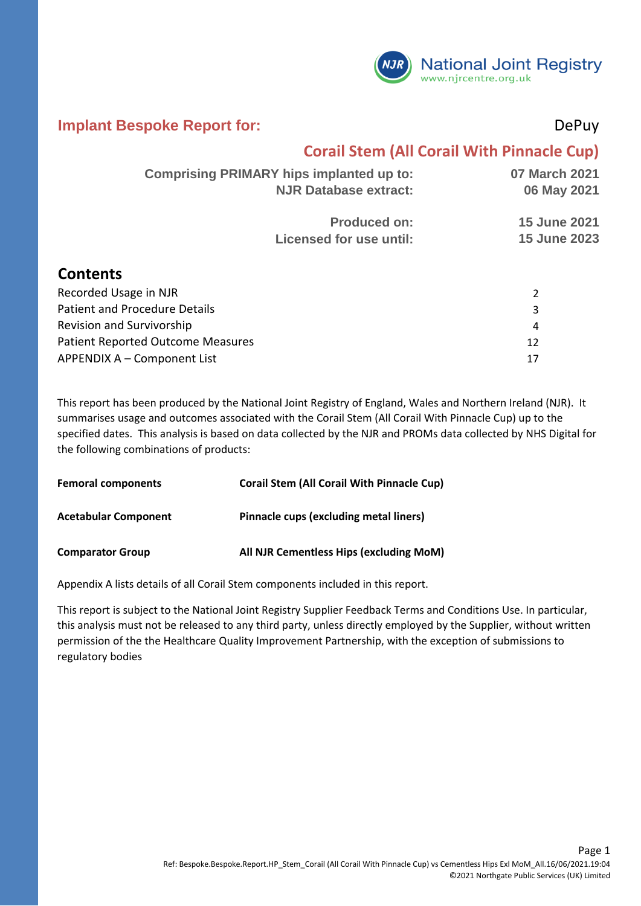

#### **Implant Bespoke Report for:** DePuy

### **Corail Stem (All Corail With Pinnacle Cup)**

| <b>Comprising PRIMARY hips implanted up to:</b> | <b>NJR Database extract:</b>                   | 07 March 2021<br>06 May 2021               |
|-------------------------------------------------|------------------------------------------------|--------------------------------------------|
|                                                 | <b>Produced on:</b><br>Licensed for use until: | <b>15 June 2021</b><br><b>15 June 2023</b> |
|                                                 |                                                |                                            |

#### **Contents**

| Recorded Usage in NJR             |    |
|-----------------------------------|----|
| Patient and Procedure Details     |    |
| Revision and Survivorship         | 4  |
| Patient Reported Outcome Measures |    |
| APPENDIX A - Component List       | 17 |

This report has been produced by the National Joint Registry of England, Wales and Northern Ireland (NJR). It summarises usage and outcomes associated with the Corail Stem (All Corail With Pinnacle Cup) up to the specified dates. This analysis is based on data collected by the NJR and PROMs data collected by NHS Digital for the following combinations of products:

| <b>Femoral components</b>   | <b>Corail Stem (All Corail With Pinnacle Cup)</b> |
|-----------------------------|---------------------------------------------------|
| <b>Acetabular Component</b> | Pinnacle cups (excluding metal liners)            |
| <b>Comparator Group</b>     | All NJR Cementless Hips (excluding MoM)           |

Appendix A lists details of all Corail Stem components included in this report.

This report is subject to the National Joint Registry Supplier Feedback Terms and Conditions Use. In particular, this analysis must not be released to any third party, unless directly employed by the Supplier, without written permission of the the Healthcare Quality Improvement Partnership, with the exception of submissions to regulatory bodies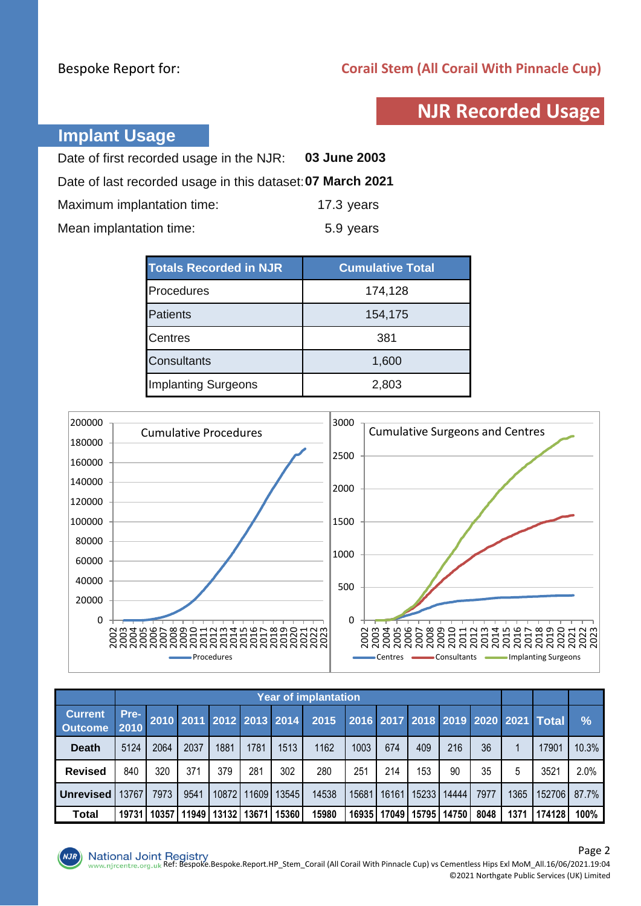### **NJR Recorded Usage**

### **Implant Usage**

| Date of first recorded usage in the NJR:                   | 03 June 2003 |
|------------------------------------------------------------|--------------|
| Date of last recorded usage in this dataset: 07 March 2021 |              |
| Maximum implantation time:                                 | 17.3 years   |
| Mean implantation time:                                    | 5.9 years    |

| <b>Totals Recorded in NJR</b> | <b>Cumulative Total</b> |
|-------------------------------|-------------------------|
| Procedures                    | 174,128                 |
| <b>Patients</b>               | 154,175                 |
| <b>Centres</b>                | 381                     |
| <b>Consultants</b>            | 1,600                   |
| <b>Implanting Surgeons</b>    | 2,803                   |



|                                  | <b>Year of implantation</b> |       |       |       |       |                          |       |       |       |       |       |      |      |                                     |               |
|----------------------------------|-----------------------------|-------|-------|-------|-------|--------------------------|-------|-------|-------|-------|-------|------|------|-------------------------------------|---------------|
| <b>Current</b><br><b>Outcome</b> | Pre-<br>2010                |       |       |       |       | 2010 2011 2012 2013 2014 | 2015  |       |       |       |       |      |      | 2016 2017 2018 2019 2020 2021 Total | $\frac{1}{2}$ |
| <b>Death</b>                     | 5124                        | 2064  | 2037  | 1881  | 1781  | 1513                     | 1162  | 1003  | 674   | 409   | 216   | 36   |      | 17901                               | 10.3%         |
| <b>Revised</b>                   | 840                         | 320   | 371   | 379   | 281   | 302                      | 280   | 251   | 214   | 153   | 90    | 35   | 5    | 3521                                | 2.0%          |
| <b>Unrevised</b>                 | 13767                       | 7973  | 9541  | 10872 | 11609 | 13545                    | 14538 | 15681 | 16161 | 15233 | 14444 | 7977 | 1365 | 152706                              | 87.7%         |
| <b>Total</b>                     | 19731                       | 10357 | 11949 | 13132 | 13671 | 15360                    | 15980 | 16935 | 17049 | 15795 | 14750 | 8048 | 1371 | 174128                              | 100%          |

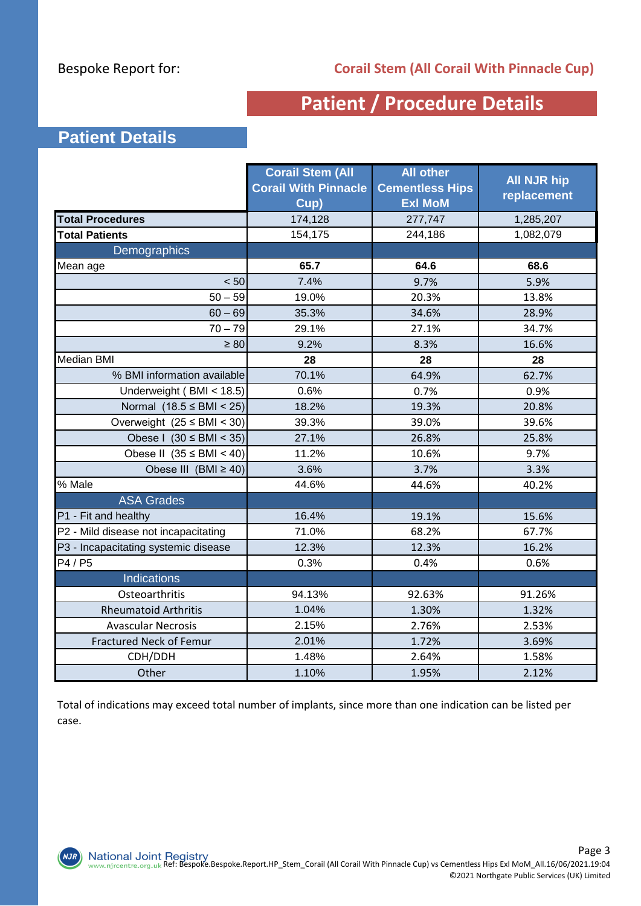### **Patient / Procedure Details**

### **Patient Details**

|                                      | <b>Corail Stem (All</b><br><b>Corail With Pinnacle</b><br>Cup) | <b>All other</b><br><b>Cementless Hips</b><br><b>Exl MoM</b> | <b>All NJR hip</b><br>replacement |
|--------------------------------------|----------------------------------------------------------------|--------------------------------------------------------------|-----------------------------------|
| <b>Total Procedures</b>              | 174,128                                                        | 277,747                                                      | 1,285,207                         |
| <b>Total Patients</b>                | 154,175                                                        | 244,186                                                      | 1,082,079                         |
| Demographics                         |                                                                |                                                              |                                   |
| Mean age                             | 65.7                                                           | 64.6                                                         | 68.6                              |
| < 50                                 | 7.4%                                                           | 9.7%                                                         | 5.9%                              |
| $50 - 59$                            | 19.0%                                                          | 20.3%                                                        | 13.8%                             |
| $60 - 69$                            | 35.3%                                                          | 34.6%                                                        | 28.9%                             |
| $70 - 79$                            | 29.1%                                                          | 27.1%                                                        | 34.7%                             |
| $\geq 80$                            | 9.2%                                                           | 8.3%                                                         | 16.6%                             |
| <b>Median BMI</b>                    | 28                                                             | 28                                                           | 28                                |
| % BMI information available          | 70.1%                                                          | 64.9%                                                        | 62.7%                             |
| Underweight (BMI < 18.5)             | 0.6%                                                           | 0.7%                                                         | 0.9%                              |
| Normal $(18.5 \leq BMI < 25)$        | 18.2%                                                          | 19.3%                                                        | 20.8%                             |
| Overweight $(25 \leq BMI \leq 30)$   | 39.3%                                                          | 39.0%                                                        | 39.6%                             |
| Obese I $(30 \leq BMI \leq 35)$      | 27.1%                                                          | 26.8%                                                        | 25.8%                             |
| Obese II $(35 \leq BMI \leq 40)$     | 11.2%                                                          | 10.6%                                                        | 9.7%                              |
| Obese III (BMI $\geq$ 40)            | 3.6%                                                           | 3.7%                                                         | 3.3%                              |
| % Male                               | 44.6%                                                          | 44.6%                                                        | 40.2%                             |
| <b>ASA Grades</b>                    |                                                                |                                                              |                                   |
| P1 - Fit and healthy                 | 16.4%                                                          | 19.1%                                                        | 15.6%                             |
| P2 - Mild disease not incapacitating | 71.0%                                                          | 68.2%                                                        | 67.7%                             |
| P3 - Incapacitating systemic disease | 12.3%                                                          | 12.3%                                                        | 16.2%                             |
| P4 / P5                              | 0.3%                                                           | 0.4%                                                         | 0.6%                              |
| Indications                          |                                                                |                                                              |                                   |
| Osteoarthritis                       | 94.13%                                                         | 92.63%                                                       | 91.26%                            |
| <b>Rheumatoid Arthritis</b>          | 1.04%                                                          | 1.30%                                                        | 1.32%                             |
| <b>Avascular Necrosis</b>            | 2.15%                                                          | 2.76%                                                        | 2.53%                             |
| <b>Fractured Neck of Femur</b>       | 2.01%                                                          | 1.72%                                                        | 3.69%                             |
| CDH/DDH                              | 1.48%                                                          | 2.64%                                                        | 1.58%                             |
| Other                                | 1.10%                                                          | 1.95%                                                        | 2.12%                             |

Total of indications may exceed total number of implants, since more than one indication can be listed per case.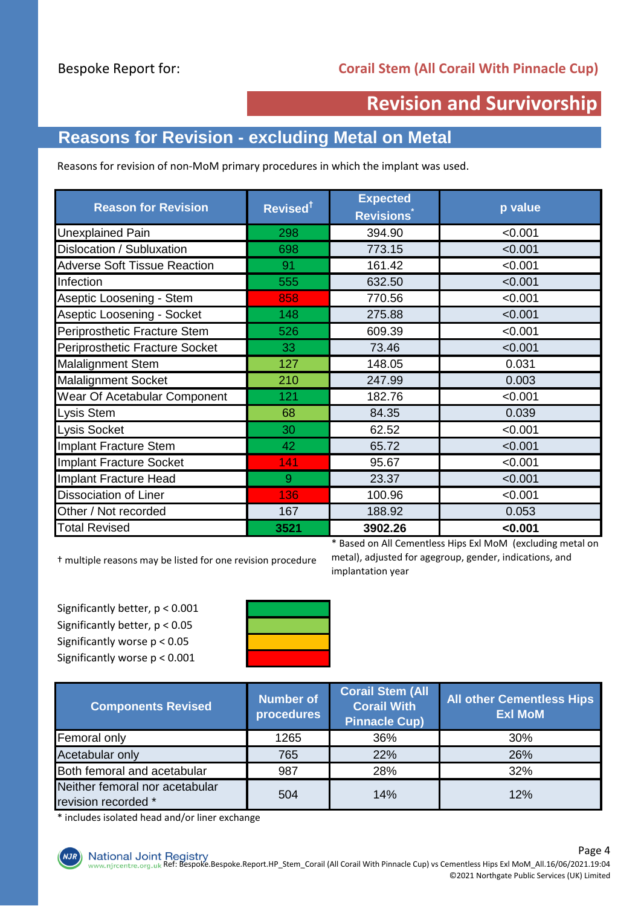### **Revision and Survivorship**

### **Reasons for Revision - excluding Metal on Metal**

Reasons for revision of non-MoM primary procedures in which the implant was used.

| <b>Reason for Revision</b>          | Revised <sup>†</sup> | <b>Expected</b><br><b>Revisions</b> | p value |
|-------------------------------------|----------------------|-------------------------------------|---------|
| <b>Unexplained Pain</b>             | 298                  | 394.90                              | < 0.001 |
| Dislocation / Subluxation           | 698                  | 773.15                              | < 0.001 |
| <b>Adverse Soft Tissue Reaction</b> | 91                   | 161.42                              | < 0.001 |
| Infection                           | 555                  | 632.50                              | < 0.001 |
| Aseptic Loosening - Stem            | 858                  | 770.56                              | < 0.001 |
| Aseptic Loosening - Socket          | 148                  | 275.88                              | < 0.001 |
| Periprosthetic Fracture Stem        | 526                  | 609.39                              | < 0.001 |
| Periprosthetic Fracture Socket      | 33                   | 73.46                               | < 0.001 |
| <b>Malalignment Stem</b>            | 127                  | 148.05                              | 0.031   |
| <b>Malalignment Socket</b>          | 210                  | 247.99                              | 0.003   |
| Wear Of Acetabular Component        | 121                  | 182.76                              | < 0.001 |
| <b>Lysis Stem</b>                   | 68                   | 84.35                               | 0.039   |
| Lysis Socket                        | 30                   | 62.52                               | < 0.001 |
| Implant Fracture Stem               | 42                   | 65.72                               | < 0.001 |
| Implant Fracture Socket             | 141                  | 95.67                               | < 0.001 |
| Implant Fracture Head               | 9                    | 23.37                               | < 0.001 |
| <b>Dissociation of Liner</b>        | 136                  | 100.96                              | < 0.001 |
| Other / Not recorded                | 167                  | 188.92                              | 0.053   |
| <b>Total Revised</b>                | 3521                 | 3902.26                             | < 0.001 |

† multiple reasons may be listed for one revision procedure

\* Based on All Cementless Hips Exl MoM (excluding metal on metal), adjusted for agegroup, gender, indications, and implantation year

Significantly better, p < 0.001 Significantly better, p < 0.05 Significantly worse p < 0.05 Significantly worse p < 0.001



| <b>Components Revised</b>                             | Number of<br>procedures | <b>Corail Stem (All</b><br><b>Corail With</b><br><b>Pinnacle Cup)</b> | <b>All other Cementless Hips</b><br><b>Exl MoM</b> |  |  |
|-------------------------------------------------------|-------------------------|-----------------------------------------------------------------------|----------------------------------------------------|--|--|
| Femoral only                                          | 1265                    | 36%                                                                   | 30%                                                |  |  |
| Acetabular only                                       | 765                     | 22%                                                                   | 26%                                                |  |  |
| Both femoral and acetabular                           | 987                     | 28%                                                                   | 32%                                                |  |  |
| Neither femoral nor acetabular<br>revision recorded * | 504                     | 14%                                                                   | 12%                                                |  |  |

\* includes isolated head and/or liner exchange

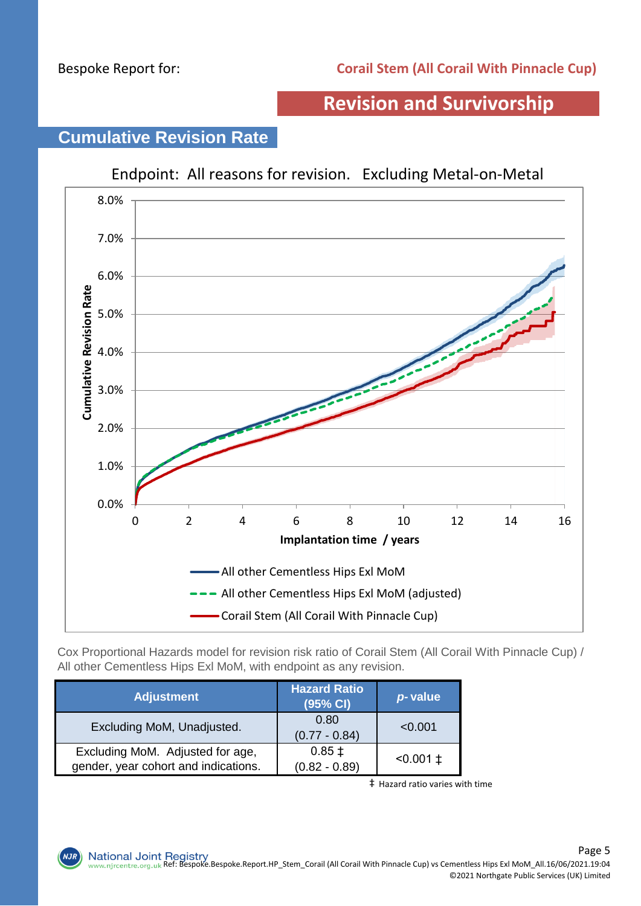### **Revision and Survivorship**



## **Cumulative Revision Rate**

Cox Proportional Hazards model for revision risk ratio of Corail Stem (All Corail With Pinnacle Cup) / All other Cementless Hips Exl MoM, with endpoint as any revision.

| <b>Adjustment</b>                                                        | <b>Hazard Ratio</b><br>(95% CI) | p-value         |
|--------------------------------------------------------------------------|---------------------------------|-----------------|
| Excluding MoM, Unadjusted.                                               | 0.80<br>$(0.77 - 0.84)$         | < 0.001         |
| Excluding MoM. Adjusted for age,<br>gender, year cohort and indications. | $0.85 \pm$<br>$(0.82 - 0.89)$   | $< 0.001 \pm 1$ |

‡ Hazard ratio varies with time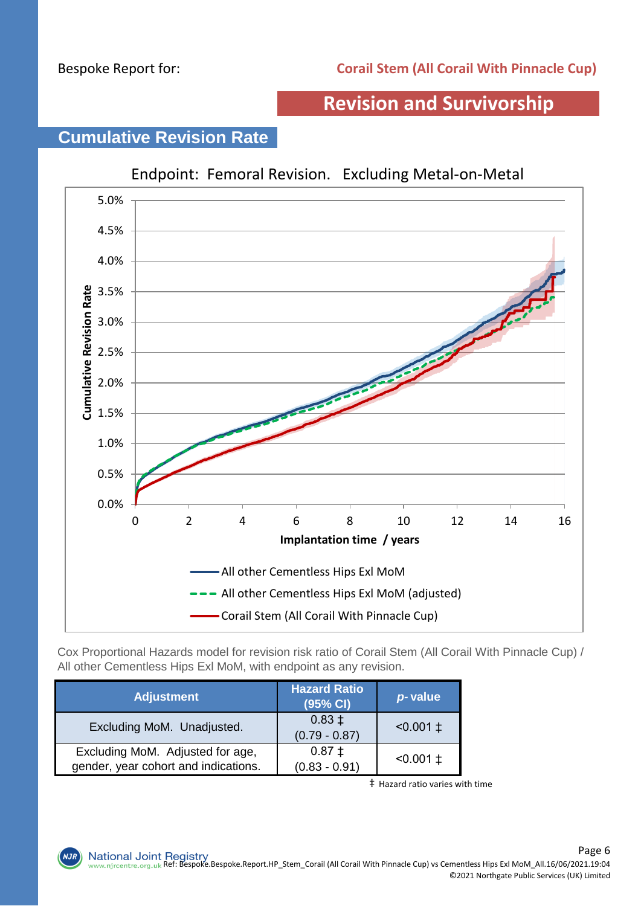### **Revision and Survivorship**



# **Cumulative Revision Rate**

Cox Proportional Hazards model for revision risk ratio of Corail Stem (All Corail With Pinnacle Cup) / All other Cementless Hips Exl MoM, with endpoint as any revision.

| <b>Adjustment</b>                                                        | <b>Hazard Ratio</b><br>(95% CI) | p-value         |
|--------------------------------------------------------------------------|---------------------------------|-----------------|
| Excluding MoM. Unadjusted.                                               | $0.83 \pm$<br>$(0.79 - 0.87)$   | $< 0.001 \pm 1$ |
| Excluding MoM. Adjusted for age,<br>gender, year cohort and indications. | $0.87 \pm$<br>$(0.83 - 0.91)$   | $< 0.001 \pm 1$ |

‡ Hazard ratio varies with time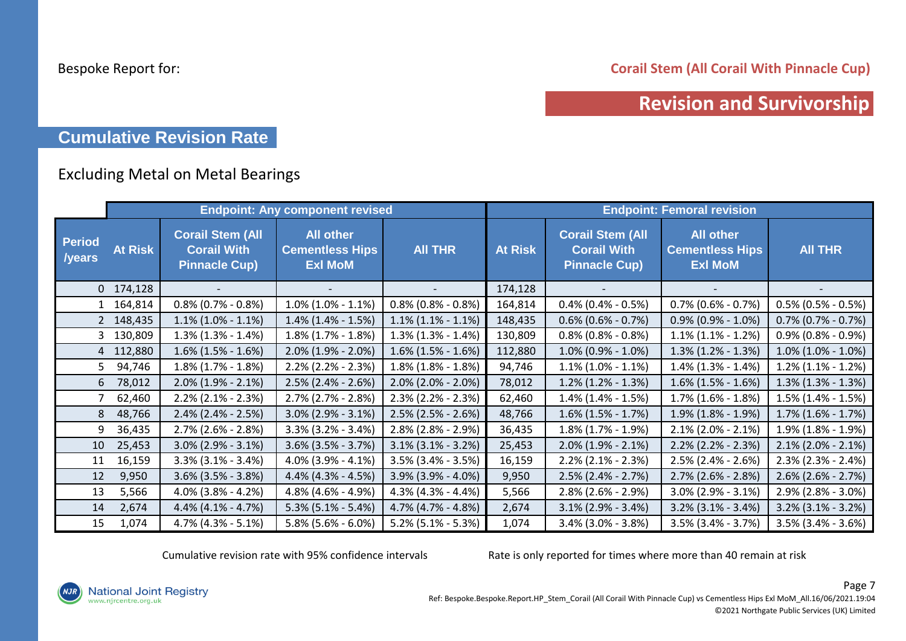**Corail Stem (All Corail With Pinnacle Cup)**

### **Revision and Survivorship**

### **Cumulative Revision Rate**

#### Excluding Metal on Metal Bearings

|                         |                |                                                                       | <b>Endpoint: Any component revised</b>                       |                       | <b>Endpoint: Femoral revision</b> |                                                                       |                                                              |                           |
|-------------------------|----------------|-----------------------------------------------------------------------|--------------------------------------------------------------|-----------------------|-----------------------------------|-----------------------------------------------------------------------|--------------------------------------------------------------|---------------------------|
| <b>Period</b><br>/years | <b>At Risk</b> | <b>Corail Stem (All</b><br><b>Corail With</b><br><b>Pinnacle Cup)</b> | <b>All other</b><br><b>Cementless Hips</b><br><b>Exl MoM</b> | <b>AII THR</b>        | <b>At Risk</b>                    | <b>Corail Stem (All</b><br><b>Corail With</b><br><b>Pinnacle Cup)</b> | <b>All other</b><br><b>Cementless Hips</b><br><b>Exl MoM</b> | <b>AII THR</b>            |
|                         | $0$ 174,128    |                                                                       |                                                              |                       | 174,128                           |                                                                       |                                                              |                           |
|                         | 1 164,814      | $0.8\%$ (0.7% - 0.8%)                                                 | $1.0\%$ (1.0% - 1.1%)                                        | $0.8\%$ (0.8% - 0.8%) | 164,814                           | $0.4\%$ (0.4% - 0.5%)                                                 | $0.7\%$ (0.6% - 0.7%)                                        | $0.5\%$ (0.5% - 0.5%)     |
|                         | 2 148,435      | $1.1\%$ (1.0% - 1.1%)                                                 | $1.4\%$ (1.4% - 1.5%)                                        | $1.1\%$ (1.1% - 1.1%) | 148,435                           | $0.6\%$ (0.6% - 0.7%)                                                 | $0.9\%$ (0.9% - 1.0%)                                        | $0.7\%$ (0.7% - 0.7%)     |
|                         | 3 130,809      | $1.3\%$ (1.3% - 1.4%)                                                 | $1.8\%$ (1.7% - 1.8%)                                        | $1.3\%$ (1.3% - 1.4%) | 130,809                           | $0.8\%$ (0.8% - 0.8%)                                                 | $1.1\%$ (1.1% - 1.2%)                                        | $0.9\%$ (0.8% - 0.9%)     |
|                         | 4 112,880      | $1.6\%$ (1.5% - 1.6%)                                                 | $2.0\%$ (1.9% - 2.0%)                                        | $1.6\%$ (1.5% - 1.6%) | 112,880                           | $1.0\%$ (0.9% - 1.0%)                                                 | $1.3\%$ (1.2% - 1.3%)                                        | $1.0\%$ (1.0% - 1.0%)     |
| 5 <sup>7</sup>          | 94,746         | $1.8\%$ (1.7% - 1.8%)                                                 | $2.2\%$ (2.2% - 2.3%)                                        | $1.8\%$ (1.8% - 1.8%) | 94,746                            | $1.1\%$ (1.0% - 1.1%)                                                 | $1.4\%$ (1.3% - 1.4%)                                        | $1.2\%$ (1.1% - 1.2%)     |
| 6                       | 78,012         | $2.0\%$ (1.9% - 2.1%)                                                 | $2.5\%$ (2.4% - 2.6%)                                        | $2.0\%$ (2.0% - 2.0%) | 78,012                            | $1.2\%$ (1.2% - 1.3%)                                                 | $1.6\%$ (1.5% - 1.6%)                                        | $1.3\%$ (1.3% - 1.3%)     |
|                         | 62,460         | $2.2\%$ (2.1% - 2.3%)                                                 | $2.7\%$ (2.7% - 2.8%)                                        | $2.3\%$ (2.2% - 2.3%) | 62,460                            | $1.4\%$ (1.4% - 1.5%)                                                 | $1.7\%$ (1.6% - 1.8%)                                        | $1.5\%$ (1.4% - 1.5%)     |
| 8 <sup>1</sup>          | 48,766         | $2.4\%$ (2.4% - 2.5%)                                                 | $3.0\%$ (2.9% - 3.1%)                                        | $2.5\%$ (2.5% - 2.6%) | 48,766                            | $1.6\%$ (1.5% - 1.7%)                                                 | $1.9\%$ (1.8% - 1.9%)                                        | $1.7\%$ $(1.6\% - 1.7\%)$ |
| 9                       | 36,435         | $2.7\%$ (2.6% - 2.8%)                                                 | $3.3\%$ (3.2% - 3.4%)                                        | $2.8\%$ (2.8% - 2.9%) | 36,435                            | $1.8\%$ (1.7% - 1.9%)                                                 | $2.1\%$ (2.0% - 2.1%)                                        | $1.9\%$ (1.8% - 1.9%)     |
| 10                      | 25,453         | $3.0\%$ (2.9% - 3.1%)                                                 | $3.6\%$ (3.5% - 3.7%)                                        | $3.1\%$ (3.1% - 3.2%) | 25,453                            | $2.0\%$ (1.9% - 2.1%)                                                 | $2.2\%$ (2.2% - 2.3%)                                        | $2.1\%$ (2.0% - 2.1%)     |
| 11                      | 16,159         | $3.3\%$ (3.1% - 3.4%)                                                 | 4.0% (3.9% - 4.1%)                                           | $3.5\%$ (3.4% - 3.5%) | 16,159                            | $2.2\%$ (2.1% - 2.3%)                                                 | 2.5% (2.4% - 2.6%)                                           | $2.3\%$ (2.3% - 2.4%)     |
| 12                      | 9,950          | $3.6\%$ (3.5% - 3.8%)                                                 | 4.4% (4.3% - 4.5%)                                           | 3.9% (3.9% - 4.0%)    | 9,950                             | $2.5\%$ (2.4% - 2.7%)                                                 | $2.7\%$ (2.6% - 2.8%)                                        | $2.6\%$ (2.6% - 2.7%)     |
| 13                      | 5,566          | $4.0\%$ (3.8% - 4.2%)                                                 | 4.8% (4.6% - 4.9%)                                           | $4.3\%$ (4.3% - 4.4%) | 5,566                             | $2.8\%$ (2.6% - 2.9%)                                                 | 3.0% (2.9% - 3.1%)                                           | $2.9\%$ (2.8% - 3.0%)     |
| 14                      | 2,674          | $4.4\%$ (4.1% - 4.7%)                                                 | $5.3\%$ (5.1% - 5.4%)                                        | 4.7% (4.7% - 4.8%)    | 2,674                             | $3.1\%$ (2.9% - 3.4%)                                                 | $3.2\%$ (3.1% - 3.4%)                                        | $3.2\%$ (3.1% - 3.2%)     |
| 15                      | 1,074          | $4.7\%$ (4.3% - 5.1%)                                                 | $5.8\%$ (5.6% - 6.0%)                                        | $5.2\%$ (5.1% - 5.3%) | 1,074                             | $3.4\%$ (3.0% - 3.8%)                                                 | 3.5% (3.4% - 3.7%)                                           | $3.5\%$ (3.4% - 3.6%)     |

Cumulative revision rate with 95% confidence intervals Rate is only reported for times where more than 40 remain at risk

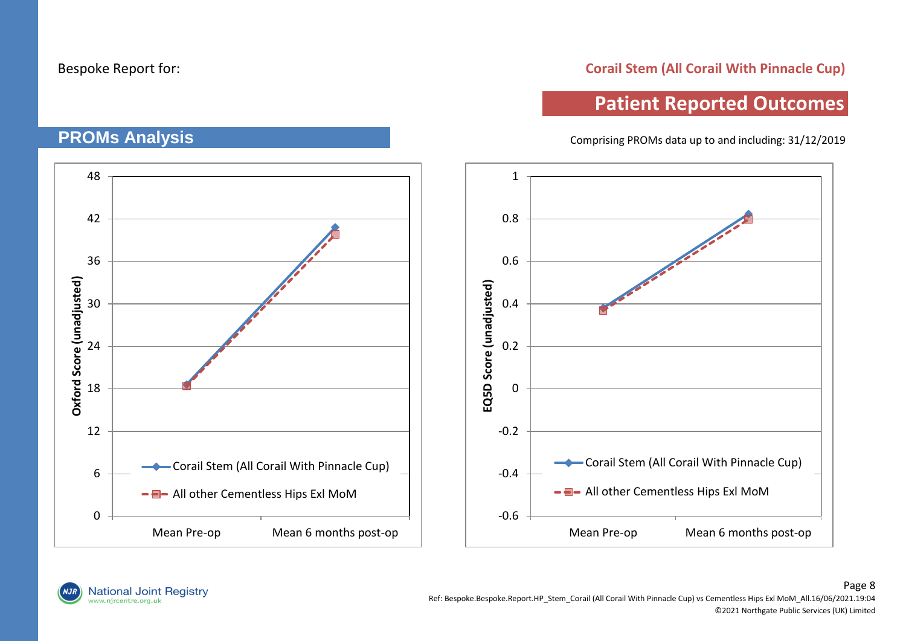#### **Corail Stem (All Corail With Pinnacle Cup)**

### **Patient Reported Outcomes**

Comprising PROMs data up to and including: 31/12/2019

48 1 42 0.8 36 0.6 Oxford Score (unadjusted) **Oxford Score (unadjusted)** EQ5D Score (unadjusted) **EQ5D Score (unadjusted)** 0.4 30 0.2 24 18  $\Omega$ 12 -0.2 **-Corail Stem (All Corail With Pinnacle Cup) Corail Stem (All Corail With Pinnacle Cup)** 6 -0.4 -  $\blacksquare$ - All other Cementless Hips Exl MoM -  $\blacksquare$ - All other Cementless Hips Exl MoM -0.6  $\Omega$ Mean Pre-op Mean 6 months post-op Mean Pre-op Mean 6 months post-op

### **PROMs Analysis**

National Joint Registry<br>www.njrcentre.org.uk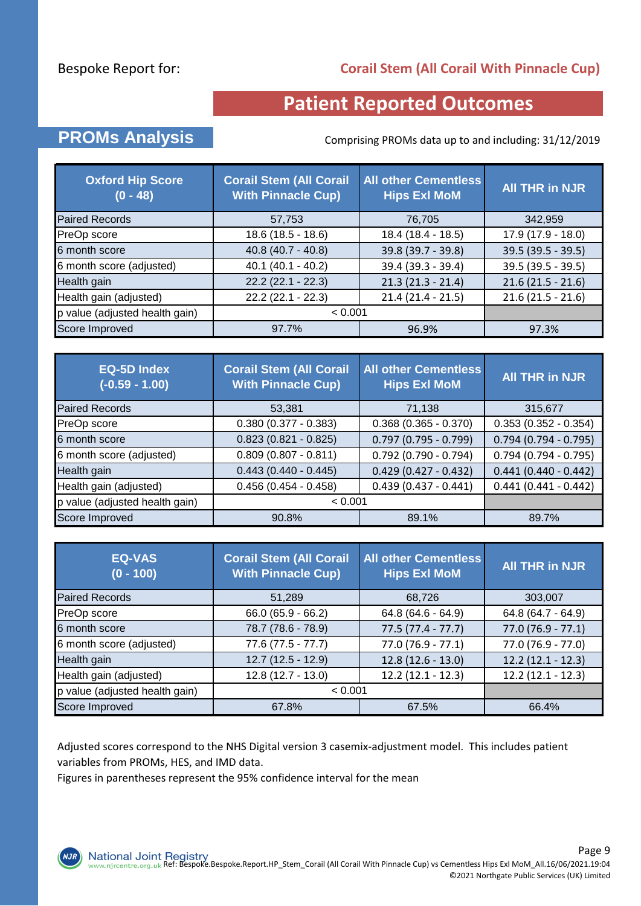#### **Corail Stem (All Corail With Pinnacle Cup)**

### **Patient Reported Outcomes**

### **PROMs Analysis** Comprising PROMs data up to and including: 31/12/2019

| <b>Oxford Hip Score</b><br>$(0 - 48)$ | <b>Corail Stem (All Corail</b><br><b>With Pinnacle Cup)</b> | <b>All other Cementless</b><br><b>Hips Exl MoM</b> | <b>All THR in NJR</b> |
|---------------------------------------|-------------------------------------------------------------|----------------------------------------------------|-----------------------|
| <b>Paired Records</b>                 | 57,753                                                      | 76,705                                             | 342,959               |
| PreOp score                           | 18.6 (18.5 - 18.6)                                          | 18.4 (18.4 - 18.5)                                 | $17.9(17.9 - 18.0)$   |
| 6 month score                         | $40.8(40.7 - 40.8)$                                         | 39.8 (39.7 - 39.8)                                 | $39.5(39.5 - 39.5)$   |
| 6 month score (adjusted)              | $40.1 (40.1 - 40.2)$                                        | 39.4 (39.3 - 39.4)                                 | 39.5 (39.5 - 39.5)    |
| Health gain                           | $22.2(22.1 - 22.3)$                                         | $21.3(21.3 - 21.4)$                                | $21.6(21.5 - 21.6)$   |
| Health gain (adjusted)                | $22.2(22.1 - 22.3)$                                         | $21.4(21.4 - 21.5)$                                | $21.6(21.5 - 21.6)$   |
| p value (adjusted health gain)        | < 0.001                                                     |                                                    |                       |
| Score Improved                        | 97.7%                                                       | 96.9%                                              | 97.3%                 |

| <b>EQ-5D Index</b><br>$(-0.59 - 1.00)$ | <b>Corail Stem (All Corail</b><br><b>With Pinnacle Cup)</b> | <b>All other Cementless</b><br><b>Hips Exl MoM</b> | <b>All THR in NJR</b>  |
|----------------------------------------|-------------------------------------------------------------|----------------------------------------------------|------------------------|
| <b>Paired Records</b>                  | 53,381                                                      | 71,138                                             | 315,677                |
| PreOp score                            | $0.380(0.377 - 0.383)$                                      | $0.368(0.365 - 0.370)$                             | $0.353(0.352 - 0.354)$ |
| 6 month score                          | $0.823(0.821 - 0.825)$                                      | $0.797(0.795 - 0.799)$                             | $0.794(0.794 - 0.795)$ |
| 6 month score (adjusted)               | $0.809(0.807 - 0.811)$                                      | $0.792$ (0.790 - 0.794)                            | $0.794(0.794 - 0.795)$ |
| Health gain                            | $0.443(0.440 - 0.445)$                                      | $0.429(0.427 - 0.432)$                             | $0.441(0.440 - 0.442)$ |
| Health gain (adjusted)                 | $0.456(0.454 - 0.458)$                                      | $0.439(0.437 - 0.441)$                             | $0.441(0.441 - 0.442)$ |
| p value (adjusted health gain)         | < 0.001                                                     |                                                    |                        |
| Score Improved                         | 90.8%                                                       | 89.1%                                              | 89.7%                  |

| <b>EQ-VAS</b><br>$(0 - 100)$   | <b>Corail Stem (All Corail</b><br><b>With Pinnacle Cup)</b> | <b>All other Cementless</b><br><b>Hips Exl MoM</b> | <b>All THR in NJR</b> |
|--------------------------------|-------------------------------------------------------------|----------------------------------------------------|-----------------------|
| <b>Paired Records</b>          | 51,289                                                      | 68,726                                             | 303,007               |
| PreOp score                    | $66.0(65.9 - 66.2)$                                         | $64.8(64.6 - 64.9)$                                | 64.8 (64.7 - 64.9)    |
| 6 month score                  | 78.7 (78.6 - 78.9)                                          | $77.5(77.4 - 77.7)$                                | $77.0(76.9 - 77.1)$   |
| 6 month score (adjusted)       | $77.6(77.5 - 77.7)$                                         | $77.0(76.9 - 77.1)$                                | $77.0(76.9 - 77.0)$   |
| Health gain                    | $12.7(12.5 - 12.9)$                                         | $12.8(12.6 - 13.0)$                                | $12.2(12.1 - 12.3)$   |
| Health gain (adjusted)         | $12.8(12.7 - 13.0)$                                         | $12.2(12.1 - 12.3)$                                | $12.2(12.1 - 12.3)$   |
| p value (adjusted health gain) | < 0.001                                                     |                                                    |                       |
| Score Improved                 | 67.8%                                                       | 67.5%                                              | 66.4%                 |

Adjusted scores correspond to the NHS Digital version 3 casemix-adjustment model. This includes patient variables from PROMs, HES, and IMD data.

Figures in parentheses represent the 95% confidence interval for the mean

**NJR**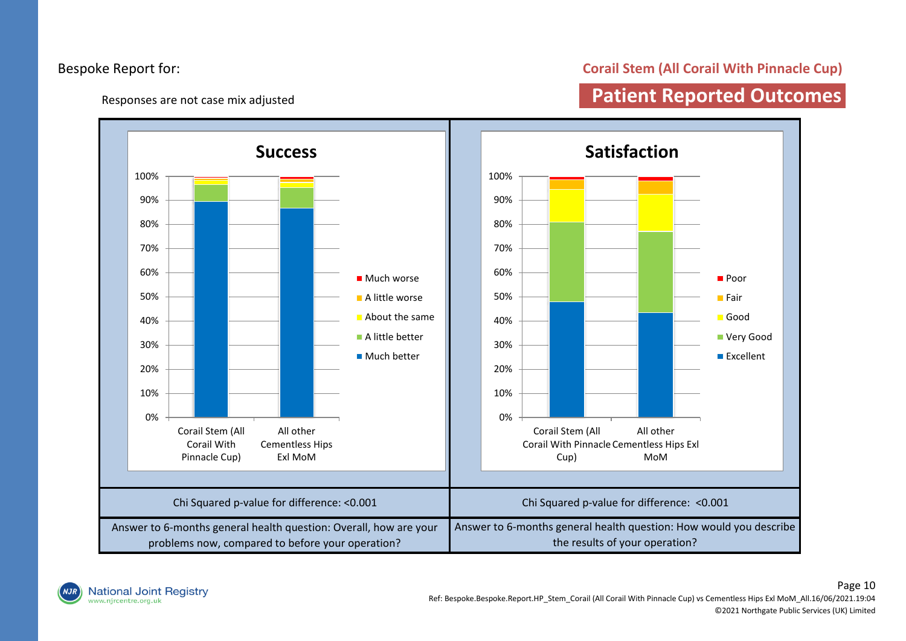Responses are not case mix adjusted

#### **Corail Stem (All Corail With Pinnacle Cup)**

### **Patient Reported Outcomes**



National Joint Registry<br>www.njrcentre.org.uk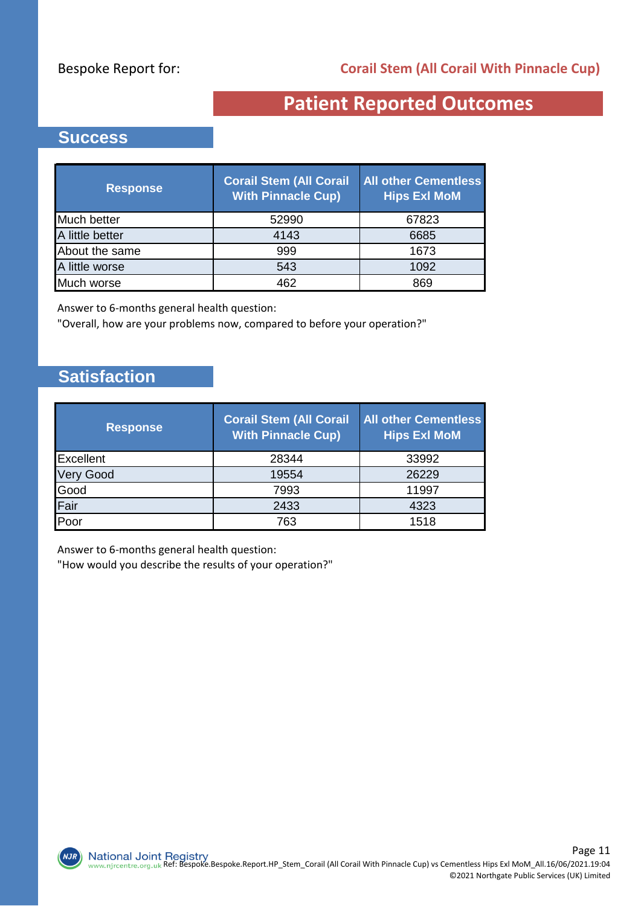### **Patient Reported Outcomes**

#### **Success**

| <b>Response</b> | <b>Corail Stem (All Corail</b><br><b>With Pinnacle Cup)</b> | <b>All other Cementless</b><br><b>Hips Exl MoM</b> |
|-----------------|-------------------------------------------------------------|----------------------------------------------------|
| Much better     | 52990                                                       | 67823                                              |
| A little better | 4143                                                        | 6685                                               |
| About the same  | 999                                                         | 1673                                               |
| A little worse  | 543                                                         | 1092                                               |
| Much worse      | 462                                                         | 869                                                |

Answer to 6-months general health question:

"Overall, how are your problems now, compared to before your operation?"

### **Satisfaction**

 $NJK$ 

| <b>Response</b> | <b>Corail Stem (All Corail</b><br><b>With Pinnacle Cup)</b> | <b>All other Cementless</b><br><b>Hips ExI MoM</b> |
|-----------------|-------------------------------------------------------------|----------------------------------------------------|
| Excellent       | 28344                                                       | 33992                                              |
| y Good          | 19554                                                       | 26229                                              |
| Good            | 7993                                                        | 11997                                              |
| Fair            | 2433                                                        | 4323                                               |
| Poor            | 763                                                         | 1518                                               |

Answer to 6-months general health question:

"How would you describe the results of your operation?"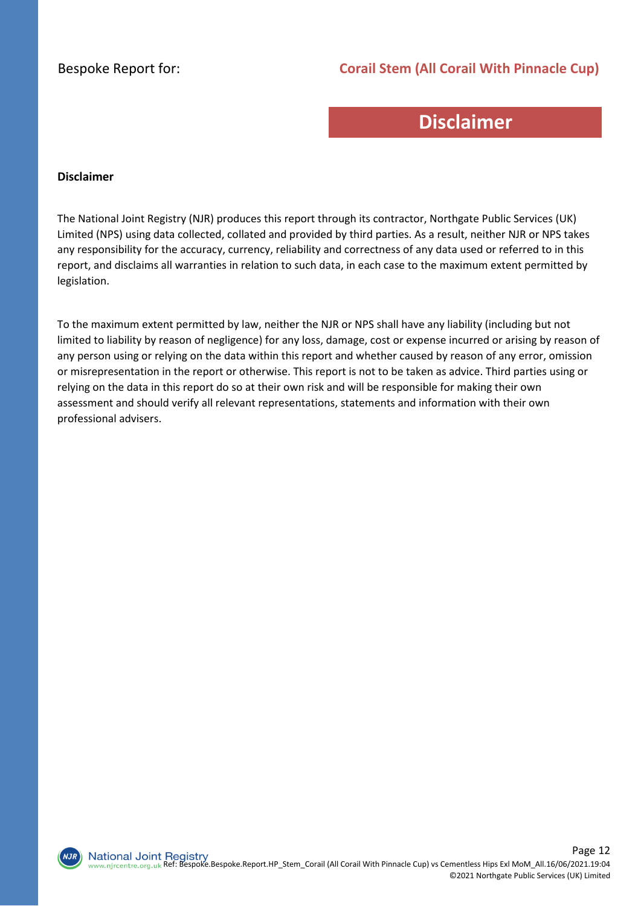#### **Corail Stem (All Corail With Pinnacle Cup)**

### **Disclaimer**

#### **Disclaimer**

The National Joint Registry (NJR) produces this report through its contractor, Northgate Public Services (UK) Limited (NPS) using data collected, collated and provided by third parties. As a result, neither NJR or NPS takes any responsibility for the accuracy, currency, reliability and correctness of any data used or referred to in this report, and disclaims all warranties in relation to such data, in each case to the maximum extent permitted by legislation.

To the maximum extent permitted by law, neither the NJR or NPS shall have any liability (including but not limited to liability by reason of negligence) for any loss, damage, cost or expense incurred or arising by reason of any person using or relying on the data within this report and whether caused by reason of any error, omission or misrepresentation in the report or otherwise. This report is not to be taken as advice. Third parties using or relying on the data in this report do so at their own risk and will be responsible for making their own assessment and should verify all relevant representations, statements and information with their own professional advisers.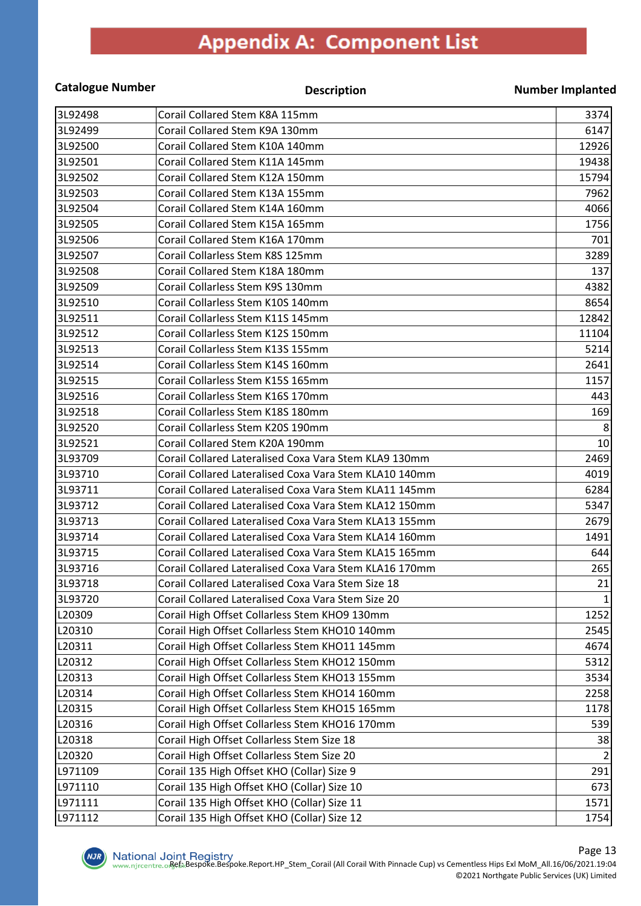### **Appendix A: Component List**

#### **Catalogue Number Description Number Implanted** 3L92498 Corail Collared Stem K8A 115mm 3374 3L92499 Corail Collared Stem K9A 130mm 6147 3L92500 Corail Collared Stem K10A 140mm 12926 3L92501 Corail Collared Stem K11A 145mm 19438 3L92502 Corail Collared Stem K12A 150mm 15794 3L92503 Corail Collared Stem K13A 155mm 7962 3L92504 Corail Collared Stem K14A 160mm 4066 3L92505 Corail Collared Stem K15A 165mm 1756 Corail Collared Stem K15A 165mm 3L92506 Corail Collared Stem K16A 170mm 701 3L92507 Corail Collarless Stem K8S 125mm 3289 3L92508 Corail Collared Stem K18A 180mm 137 3L92509 Corail Collarless Stem K9S 130mm 4382 3L92510 Corail Collarless Stem K10S 140mm 8654 3L92511 Corail Collarless Stem K11S 145mm 12842 3L92512 Corail Collarless Stem K12S 150mm 11104 3L92513 Corail Collarless Stem K13S 155mm 5214 3L92514 Corail Collarless Stem K14S 160mm 2641 3L92515 Corail Collarless Stem K15S 165mm 1157 3L92516 Corail Collarless Stem K16S 170mm 443 3L92518 Corail Collarless Stem K18S 180mm 169 3L92520 Corail Collarless Stem K20S 190mm 8 3L92521 Corail Collared Stem K20A 190mm 10 3L93709 Corail Collared Lateralised Coxa Vara Stem KLA9 130mm 2469 3L93710 Corail Collared Lateralised Coxa Vara Stem KLA10 140mm 4019 3L93711 Corail Collared Lateralised Coxa Vara Stem KLA11 145mm 6284 3L93712 Corail Collared Lateralised Coxa Vara Stem KLA12 150mm 5347 3L93713 Corail Collared Lateralised Coxa Vara Stem KLA13 155mm 2679 3L93714 Corail Collared Lateralised Coxa Vara Stem KLA14 160mm 1491 3L93715 Corail Collared Lateralised Coxa Vara Stem KLA15 165mm 644 3L93716 Corail Collared Lateralised Coxa Vara Stem KLA16 170mm 265 3L93718 Corail Collared Lateralised Coxa Vara Stem Size 18 21 3L93720 Corail Collared Lateralised Coxa Vara Stem Size 20 1 L20309 Corail High Offset Collarless Stem KHO9 130mm 1252 L20310 Corail High Offset Collarless Stem KHO10 140mm 2545 L20311 Corail High Offset Collarless Stem KHO11 145mm 4674 L20312 Corail High Offset Collarless Stem KHO12 150mm 5312 L20313 Corail High Offset Collarless Stem KHO13 155mm 3534 L20314 Corail High Offset Collarless Stem KHO14 160mm 2258 L20315 Corail High Offset Collarless Stem KHO15 165mm 1778 1178 L20316 Corail High Offset Collarless Stem KHO16 170mm 539 L20318 Corail High Offset Collarless Stem Size 18 38 L20320 Corail High Offset Collarless Stem Size 20 2 L971109 Corail 135 High Offset KHO (Collar) Size 9 291 L971110  $|$ Corail 135 High Offset KHO (Collar) Size 10 673 L971111 Corail 135 High Offset KHO (Collar) Size 11 1571 L971112 Corail 135 High Offset KHO (Collar) Size 12 1754

 $NJK$